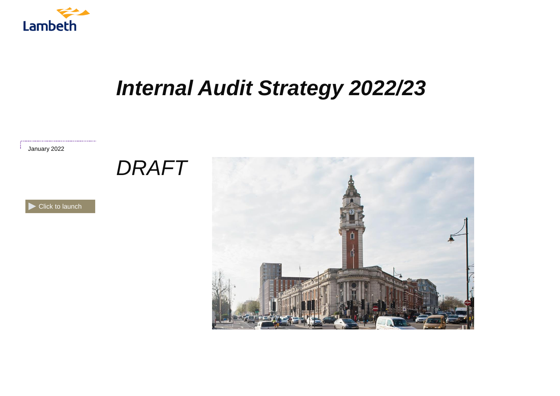

# *Internal Audit Strategy 2022/23*

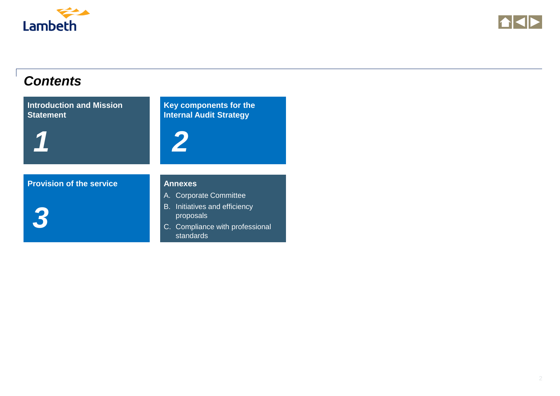<span id="page-1-0"></span>



### *Contents*

**[Introduction and Mission](#page-2-0)  Statement**

*1*

**[Key components for the](#page-3-0)  Internal Audit Strategy** *2*

**[Provision of the service](#page-5-0) <b>Annexes** 

*3*

- A. Corporate Committee
- B. Initiatives and efficiency proposals
- C. [Compliance with professional](#page-6-0)  standards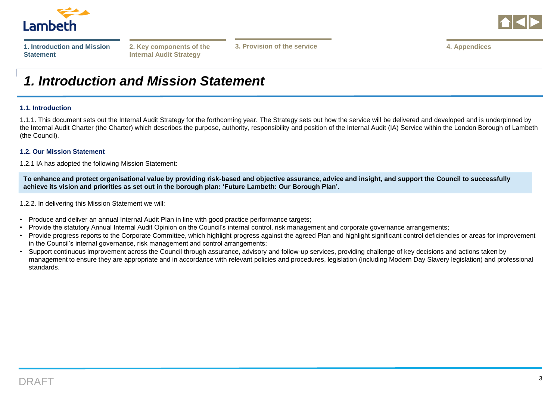<span id="page-2-0"></span>

|--|--|--|

**Internal Audit Strategy**

**[2. Key components of the](#page-3-0) [4. Appendices](#page-6-0) 3. Provision of the service**

### *1. Introduction and Mission Statement*

#### **1.1. Introduction**

1.1.1. This document sets out the Internal Audit Strategy for the forthcoming year. The Strategy sets out how the service will be delivered and developed and is underpinned by the Internal Audit Charter (the Charter) which describes the purpose, authority, responsibility and position of the Internal Audit (IA) Service within the London Borough of Lambeth (the Council).

### **1.2. Our Mission Statement**

1.2.1 IA has adopted the following Mission Statement:

**To enhance and protect organisational value by providing risk-based and objective assurance, advice and insight, and support the Council to successfully achieve its vision and priorities as set out in the borough plan: 'Future Lambeth: Our Borough Plan'.**

1.2.2. In delivering this Mission Statement we will:

- Produce and deliver an annual Internal Audit Plan in line with good practice performance targets;
- Provide the statutory Annual Internal Audit Opinion on the Council's internal control, risk management and corporate governance arrangements;
- Provide progress reports to the Corporate Committee, which highlight progress against the agreed Plan and highlight significant control deficiencies or areas for improvement in the Council's internal governance, risk management and control arrangements;
- Support continuous improvement across the Council through assurance, advisory and follow-up services, providing challenge of key decisions and actions taken by management to ensure they are appropriate and in accordance with relevant policies and procedures, legislation (including Modern Day Slavery legislation) and professional standards.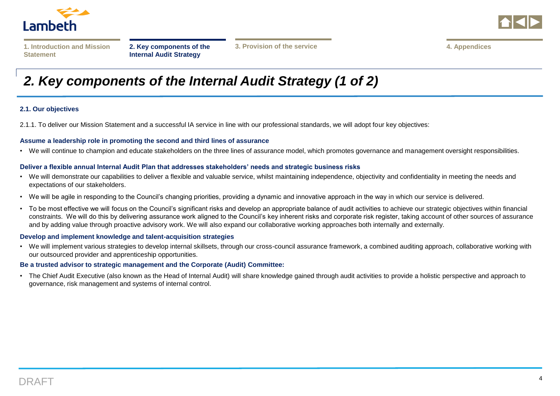<span id="page-3-0"></span>

|--|--|--|

**[2. Key components of the](#page-3-0)  Internal Audit Strategy**

## *2. Key components of the Internal Audit Strategy (1 of 2)*

### **2.1. Our objectives**

2.1.1. To deliver our Mission Statement and a successful IA service in line with our professional standards, we will adopt four key objectives:

#### **Assume a leadership role in promoting the second and third lines of assurance**

• We will continue to champion and educate stakeholders on the three lines of assurance model, which promotes governance and management oversight responsibilities.

#### **Deliver a flexible annual Internal Audit Plan that addresses stakeholders' needs and strategic business risks**

- We will demonstrate our capabilities to deliver a flexible and valuable service, whilst maintaining independence, objectivity and confidentiality in meeting the needs and expectations of our stakeholders.
- We will be agile in responding to the Council's changing priorities, providing a dynamic and innovative approach in the way in which our service is delivered.
- To be most effective we will focus on the Council's significant risks and develop an appropriate balance of audit activities to achieve our strategic objectives within financial constraints. We will do this by delivering assurance work aligned to the Council's key inherent risks and corporate risk register, taking account of other sources of assurance and by adding value through proactive advisory work. We will also expand our collaborative working approaches both internally and externally.

#### **Develop and implement knowledge and talent-acquisition strategies**

• We will implement various strategies to develop internal skillsets, through our cross-council assurance framework, a combined auditing approach, collaborative working with our outsourced provider and apprenticeship opportunities.

#### **Be a trusted advisor to strategic management and the Corporate (Audit) Committee:**

• The Chief Audit Executive (also known as the Head of Internal Audit) will share knowledge gained through audit activities to provide a holistic perspective and approach to governance, risk management and systems of internal control.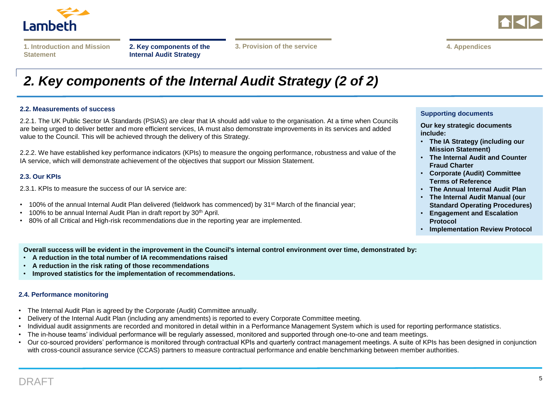

|--|--|--|

**[2. Key components of the](#page-3-0)  Internal Audit Strategy**

**[3. Provision of the service](#page-5-0) [4. Appendices](#page-6-0)**



### *2. Key components of the Internal Audit Strategy (2 of 2)*

#### **2.2. Measurements of success**

2.2.1. The UK Public Sector IA Standards (PSIAS) are clear that IA should add value to the organisation. At a time when Councils are being urged to deliver better and more efficient services, IA must also demonstrate improvements in its services and added value to the Council. This will be achieved through the delivery of this Strategy.

2.2.2. We have established key performance indicators (KPIs) to measure the ongoing performance, robustness and value of the IA service, which will demonstrate achievement of the objectives that support our Mission Statement.

#### **2.3. Our KPIs**

2.3.1. KPIs to measure the success of our IA service are:

- 100% of the annual Internal Audit Plan delivered (fieldwork has commenced) by 31<sup>st</sup> March of the financial year:
- 100% to be annual Internal Audit Plan in draft report by 30<sup>th</sup> April.
- 80% of all Critical and High-risk recommendations due in the reporting year are implemented.

#### **Supporting documents**

**Our key strategic documents include:**

- **The IA Strategy (including our Mission Statement)**
- **The Internal Audit and Counter Fraud Charter**
- **Corporate (Audit) Committee Terms of Reference**
- **The Annual Internal Audit Plan**
- **The Internal Audit Manual (our Standard Operating Procedures)**
- **Engagement and Escalation Protocol**
- **Implementation Review Protocol**

**Overall success will be evident in the improvement in the Council's internal control environment over time, demonstrated by:**

- **A reduction in the total number of IA recommendations raised**
- **A reduction in the risk rating of those recommendations**
- **Improved statistics for the implementation of recommendations.**

#### **2.4. Performance monitoring**

- The Internal Audit Plan is agreed by the Corporate (Audit) Committee annually.
- Delivery of the Internal Audit Plan (including any amendments) is reported to every Corporate Committee meeting.
- Individual audit assignments are recorded and monitored in detail within in a Performance Management System which is used for reporting performance statistics.
- The in-house teams' individual performance will be regularly assessed, monitored and supported through one-to-one and team meetings.
- Our co-sourced providers' performance is monitored through contractual KPIs and quarterly contract management meetings. A suite of KPIs has been designed in conjunction with cross-council assurance service (CCAS) partners to measure contractual performance and enable benchmarking between member authorities.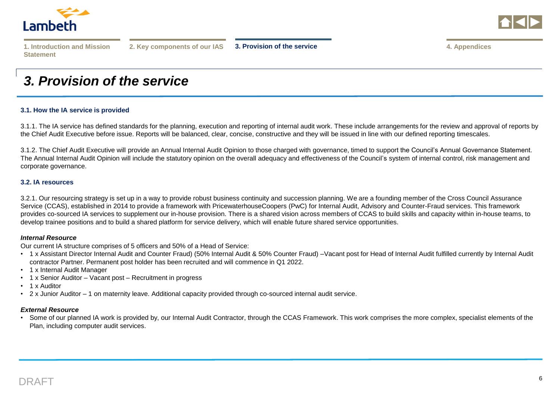<span id="page-5-0"></span>



**[2. Key components of our IAS](#page-3-0) [3. Provision of the service](#page-5-0) [4. Appendices](#page-6-0)**

### *3. Provision of the service*

#### **3.1. How the IA service is provided**

3.1.1. The IA service has defined standards for the planning, execution and reporting of internal audit work. These include arrangements for the review and approval of reports by the Chief Audit Executive before issue. Reports will be balanced, clear, concise, constructive and they will be issued in line with our defined reporting timescales.

3.1.2. The Chief Audit Executive will provide an Annual Internal Audit Opinion to those charged with governance, timed to support the Council's Annual Governance Statement. The Annual Internal Audit Opinion will include the statutory opinion on the overall adequacy and effectiveness of the Council's system of internal control, risk management and corporate governance.

#### **3.2. IA resources**

3.2.1. Our resourcing strategy is set up in a way to provide robust business continuity and succession planning. We are a founding member of the Cross Council Assurance Service (CCAS), established in 2014 to provide a framework with PricewaterhouseCoopers (PwC) for Internal Audit, Advisory and Counter-Fraud services. This framework provides co-sourced IA services to supplement our in-house provision. There is a shared vision across members of CCAS to build skills and capacity within in-house teams, to develop trainee positions and to build a shared platform for service delivery, which will enable future shared service opportunities.

#### *Internal Resource*

Our current IA structure comprises of 5 officers and 50% of a Head of Service:

- 1 x Assistant Director Internal Audit and Counter Fraud) (50% Internal Audit & 50% Counter Fraud) –Vacant post for Head of Internal Audit fulfilled currently by Internal Audit contractor Partner. Permanent post holder has been recruited and will commence in Q1 2022.
- 1 x Internal Audit Manager
- 1 x Senior Auditor Vacant post Recruitment in progress
- 1 x Auditor
- 2 x Junior Auditor 1 on maternity leave. Additional capacity provided through co-sourced internal audit service.

### *External Resource*

• Some of our planned IA work is provided by, our Internal Audit Contractor, through the CCAS Framework. This work comprises the more complex, specialist elements of the Plan, including computer audit services.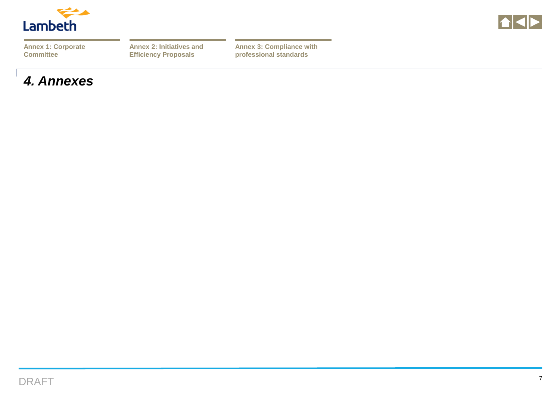<span id="page-6-0"></span>

**THE** 

**[Annex 1: Corporate](#page-7-0)  Committee**

**[Annex 2: Initiatives and](#page-8-0)  Efficiency Proposals**

**[Annex 3: Compliance with](#page-7-0)  professional standards**

### *4. Annexes*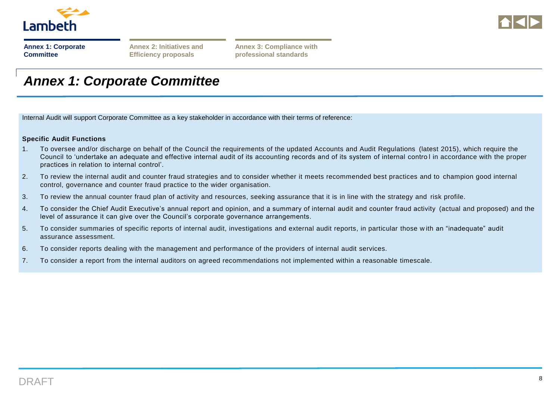<span id="page-7-0"></span>

|                  | <b>Annex 1: Corporate</b> |
|------------------|---------------------------|
| <b>Committee</b> |                           |

**[Annex 2: Initiatives and](#page-8-0)  Efficiency proposals**

**[Annex 3: Compliance with](#page-9-0)  professional standards**

### *Annex 1: Corporate Committee*

Internal Audit will support Corporate Committee as a key stakeholder in accordance with their terms of reference:

### **Specific Audit Functions**

- 1. To oversee and/or discharge on behalf of the Council the requirements of the updated Accounts and Audit Regulations (latest 2015), which require the Council to 'undertake an adequate and effective internal audit of its accounting records and of its system of internal contro l in accordance with the proper practices in relation to internal control'.
- 2. To review the internal audit and counter fraud strategies and to consider whether it meets recommended best practices and to champion good internal control, governance and counter fraud practice to the wider organisation.
- 3. To review the annual counter fraud plan of activity and resources, seeking assurance that it is in line with the strategy and risk profile.
- 4. To consider the Chief Audit Executive's annual report and opinion, and a summary of internal audit and counter fraud activity (actual and proposed) and the level of assurance it can give over the Council's corporate governance arrangements.
- 5. To consider summaries of specific reports of internal audit, investigations and external audit reports, in particular those w ith an "inadequate" audit assurance assessment.
- 6. To consider reports dealing with the management and performance of the providers of internal audit services.
- 7. To consider a report from the internal auditors on agreed recommendations not implemented within a reasonable timescale.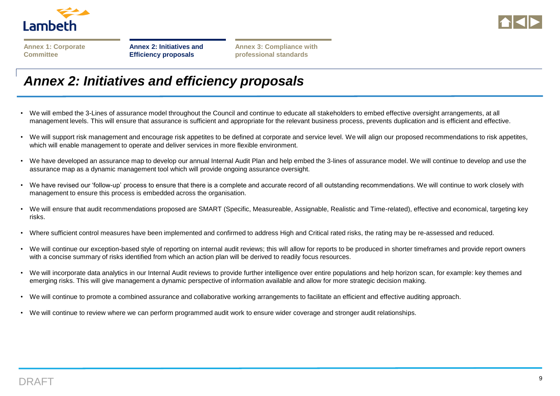<span id="page-8-0"></span>

|                  |  | <b>Annex 1: Corporate</b> |
|------------------|--|---------------------------|
| <b>Committee</b> |  |                           |

**[Annex 2: Initiatives and](#page-8-0)  Efficiency proposals**

**[Annex 3: Compliance with](#page-9-0)  professional standards**

### *Annex 2: Initiatives and efficiency proposals*

- We will embed the 3-Lines of assurance model throughout the Council and continue to educate all stakeholders to embed effective oversight arrangements, at all management levels. This will ensure that assurance is sufficient and appropriate for the relevant business process, prevents duplication and is efficient and effective.
- We will support risk management and encourage risk appetites to be defined at corporate and service level. We will align our proposed recommendations to risk appetites, which will enable management to operate and deliver services in more flexible environment.
- We have developed an assurance map to develop our annual Internal Audit Plan and help embed the 3-lines of assurance model. We will continue to develop and use the assurance map as a dynamic management tool which will provide ongoing assurance oversight.
- We have revised our 'follow-up' process to ensure that there is a complete and accurate record of all outstanding recommendations. We will continue to work closely with management to ensure this process is embedded across the organisation.
- We will ensure that audit recommendations proposed are SMART (Specific, Measureable, Assignable, Realistic and Time-related), effective and economical, targeting key risks.
- Where sufficient control measures have been implemented and confirmed to address High and Critical rated risks, the rating may be re-assessed and reduced.
- We will continue our exception-based style of reporting on internal audit reviews; this will allow for reports to be produced in shorter timeframes and provide report owners with a concise summary of risks identified from which an action plan will be derived to readily focus resources.
- We will incorporate data analytics in our Internal Audit reviews to provide further intelligence over entire populations and help horizon scan, for example: key themes and emerging risks. This will give management a dynamic perspective of information available and allow for more strategic decision making.
- We will continue to promote a combined assurance and collaborative working arrangements to facilitate an efficient and effective auditing approach.
- We will continue to review where we can perform programmed audit work to ensure wider coverage and stronger audit relationships.